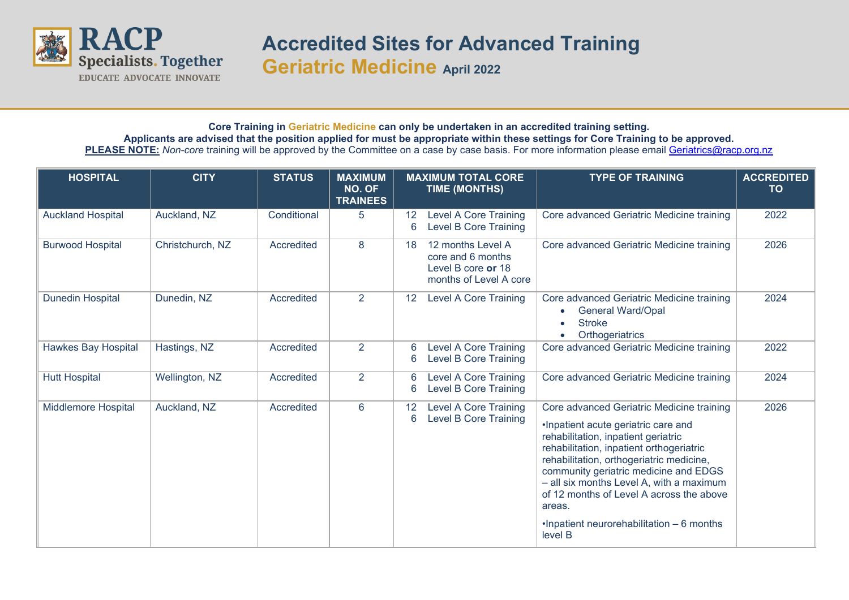

## **Accredited Sites for Advanced Training Geriatric Medicine April 2022**

## **Core Training in Geriatric Medicine can only be undertaken in an accredited training setting. Applicants are advised that the position applied for must be appropriate within these settings for Core Training to be approved.** PLEASE NOTE: Non-core training will be approved by the Committee on a case by case basis. For more information please email [Geriatrics@racp.org.nz](mailto:Geriatrics@racp.org.nz)

| <b>HOSPITAL</b>            | <b>CITY</b>      | <b>STATUS</b> | <b>MAXIMUM</b><br>NO. OF<br><b>TRAINEES</b> |                      | <b>MAXIMUM TOTAL CORE</b><br><b>TIME (MONTHS)</b>                                      | <b>TYPE OF TRAINING</b>                                                                                                                                                                                                                                                                                                                                                                                            | <b>ACCREDITED</b><br><b>TO</b> |
|----------------------------|------------------|---------------|---------------------------------------------|----------------------|----------------------------------------------------------------------------------------|--------------------------------------------------------------------------------------------------------------------------------------------------------------------------------------------------------------------------------------------------------------------------------------------------------------------------------------------------------------------------------------------------------------------|--------------------------------|
| <b>Auckland Hospital</b>   | Auckland, NZ     | Conditional   | 5                                           | 12 <sup>°</sup><br>6 | <b>Level A Core Training</b><br><b>Level B Core Training</b>                           | Core advanced Geriatric Medicine training                                                                                                                                                                                                                                                                                                                                                                          | 2022                           |
| <b>Burwood Hospital</b>    | Christchurch, NZ | Accredited    | 8                                           | 18                   | 12 months Level A<br>core and 6 months<br>Level B core or 18<br>months of Level A core | Core advanced Geriatric Medicine training                                                                                                                                                                                                                                                                                                                                                                          | 2026                           |
| <b>Dunedin Hospital</b>    | Dunedin, NZ      | Accredited    | 2                                           | $12 \overline{ }$    | <b>Level A Core Training</b>                                                           | Core advanced Geriatric Medicine training<br><b>General Ward/Opal</b><br>$\bullet$<br><b>Stroke</b><br>$\bullet$<br>Orthogeriatrics                                                                                                                                                                                                                                                                                | 2024                           |
| <b>Hawkes Bay Hospital</b> | Hastings, NZ     | Accredited    | $\overline{2}$                              | 6<br>6               | <b>Level A Core Training</b><br><b>Level B Core Training</b>                           | Core advanced Geriatric Medicine training                                                                                                                                                                                                                                                                                                                                                                          | 2022                           |
| <b>Hutt Hospital</b>       | Wellington, NZ   | Accredited    | $\overline{2}$                              | 6<br>6               | <b>Level A Core Training</b><br><b>Level B Core Training</b>                           | Core advanced Geriatric Medicine training                                                                                                                                                                                                                                                                                                                                                                          | 2024                           |
| <b>Middlemore Hospital</b> | Auckland, NZ     | Accredited    | $6\phantom{1}$                              | 12 <sup>°</sup><br>6 | <b>Level A Core Training</b><br><b>Level B Core Training</b>                           | Core advanced Geriatric Medicine training<br>.Inpatient acute geriatric care and<br>rehabilitation, inpatient geriatric<br>rehabilitation, inpatient orthogeriatric<br>rehabilitation, orthogeriatric medicine,<br>community geriatric medicine and EDGS<br>- all six months Level A, with a maximum<br>of 12 months of Level A across the above<br>areas.<br>.Inpatient neurorehabilitation - 6 months<br>level B | 2026                           |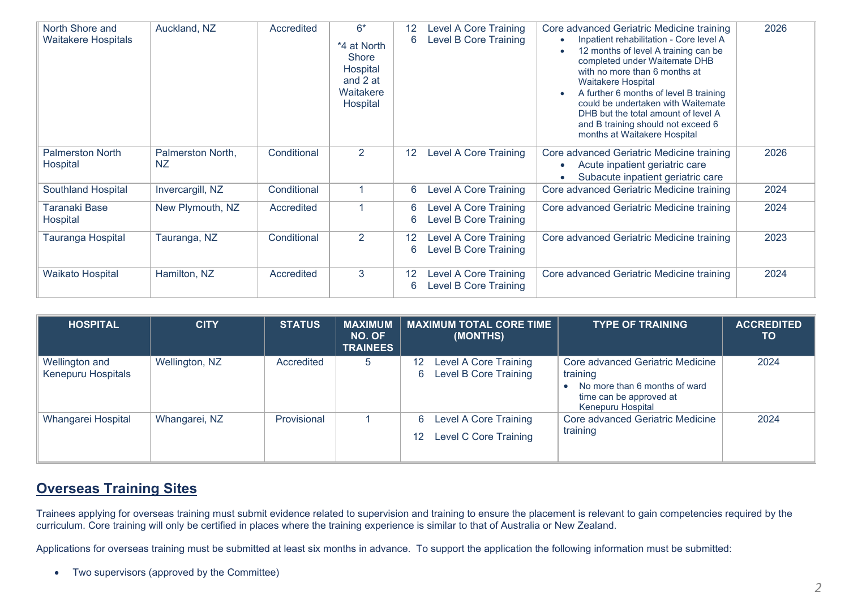| North Shore and<br><b>Waitakere Hospitals</b> | Auckland, NZ                   | Accredited  | $6*$<br>*4 at North<br><b>Shore</b><br>Hospital<br>and 2 at<br>Waitakere<br>Hospital | $12 \overline{ }$<br>6 | <b>Level A Core Training</b><br><b>Level B Core Training</b> | Core advanced Geriatric Medicine training<br>Inpatient rehabilitation - Core level A<br>12 months of level A training can be<br>completed under Waitemate DHB<br>with no more than 6 months at<br><b>Waitakere Hospital</b><br>A further 6 months of level B training<br>$\bullet$<br>could be undertaken with Waitemate<br>DHB but the total amount of level A<br>and B training should not exceed 6<br>months at Waitakere Hospital | 2026 |
|-----------------------------------------------|--------------------------------|-------------|--------------------------------------------------------------------------------------|------------------------|--------------------------------------------------------------|---------------------------------------------------------------------------------------------------------------------------------------------------------------------------------------------------------------------------------------------------------------------------------------------------------------------------------------------------------------------------------------------------------------------------------------|------|
| <b>Palmerston North</b><br>Hospital           | Palmerston North,<br><b>NZ</b> | Conditional | $\overline{2}$                                                                       | 12                     | <b>Level A Core Training</b>                                 | Core advanced Geriatric Medicine training<br>Acute inpatient geriatric care<br>$\bullet$<br>Subacute inpatient geriatric care                                                                                                                                                                                                                                                                                                         | 2026 |
| <b>Southland Hospital</b>                     | Invercargill, NZ               | Conditional |                                                                                      | 6                      | <b>Level A Core Training</b>                                 | Core advanced Geriatric Medicine training                                                                                                                                                                                                                                                                                                                                                                                             | 2024 |
| Taranaki Base<br>Hospital                     | New Plymouth, NZ               | Accredited  |                                                                                      | 6<br>6                 | <b>Level A Core Training</b><br>Level B Core Training        | Core advanced Geriatric Medicine training                                                                                                                                                                                                                                                                                                                                                                                             | 2024 |
| Tauranga Hospital                             | Tauranga, NZ                   | Conditional | $\overline{2}$                                                                       | $12 \overline{ }$<br>6 | Level A Core Training<br>Level B Core Training               | Core advanced Geriatric Medicine training                                                                                                                                                                                                                                                                                                                                                                                             | 2023 |
| <b>Waikato Hospital</b>                       | Hamilton, NZ                   | Accredited  | 3                                                                                    | 12<br>6                | <b>Level A Core Training</b><br><b>Level B Core Training</b> | Core advanced Geriatric Medicine training                                                                                                                                                                                                                                                                                                                                                                                             | 2024 |

| <b>HOSPITAL</b>                             | <b>CITY</b>    | <b>STATUS</b> | <b>MAXIMUM</b><br>NO. OF<br><b>TRAINEES</b> | <b>MAXIMUM TOTAL CORE TIME</b><br>(MONTHS)                       | <b>TYPE OF TRAINING</b>                                                                                                       | <b>ACCREDITED</b><br><b>TO</b> |
|---------------------------------------------|----------------|---------------|---------------------------------------------|------------------------------------------------------------------|-------------------------------------------------------------------------------------------------------------------------------|--------------------------------|
| Wellington and<br><b>Kenepuru Hospitals</b> | Wellington, NZ | Accredited    | 5                                           | Level A Core Training<br>12<br>Level B Core Training<br>6        | Core advanced Geriatric Medicine<br>training<br>No more than 6 months of ward<br>time can be approved at<br>Kenepuru Hospital | 2024                           |
| Whangarei Hospital                          | Whangarei, NZ  | Provisional   |                                             | <b>Level A Core Training</b><br>6<br>Level C Core Training<br>12 | Core advanced Geriatric Medicine<br>training                                                                                  | 2024                           |

## **Overseas Training Sites**

Trainees applying for overseas training must submit evidence related to supervision and training to ensure the placement is relevant to gain competencies required by the curriculum. Core training will only be certified in places where the training experience is similar to that of Australia or New Zealand.

Applications for overseas training must be submitted at least six months in advance. To support the application the following information must be submitted:

• Two supervisors (approved by the Committee)